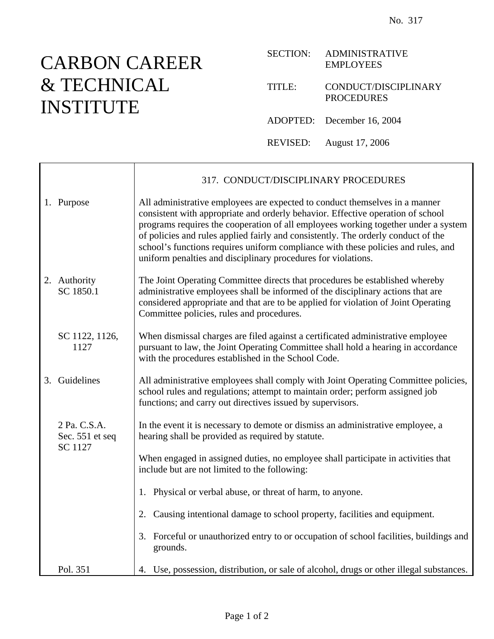## CARBON CAREER & TECHNICAL INSTITUTE

| <b>SECTION:</b> | <b>ADMINISTRATIVE</b><br><b>EMPLOYEES</b> |
|-----------------|-------------------------------------------|
| TITLE:          | CONDUCT/DISCIPLINARY<br><b>PROCEDURES</b> |
|                 | ADOPTED: December 16, 2004                |

REVISED: August 17, 2006

317. CONDUCT/DISCIPLINARY PROCEDURES 1. Purpose All administrative employees are expected to conduct themselves in a manner consistent with appropriate and orderly behavior. Effective operation of school programs requires the cooperation of all employees working together under a system of policies and rules applied fairly and consistently. The orderly conduct of the school's functions requires uniform compliance with these policies and rules, and uniform penalties and disciplinary procedures for violations. 2. Authority SC 1850.1 The Joint Operating Committee directs that procedures be established whereby administrative employees shall be informed of the disciplinary actions that are considered appropriate and that are to be applied for violation of Joint Operating Committee policies, rules and procedures. SC 1122, 1126, 1127 When dismissal charges are filed against a certificated administrative employee pursuant to law, the Joint Operating Committee shall hold a hearing in accordance with the procedures established in the School Code. 3. Guidelines All administrative employees shall comply with Joint Operating Committee policies, school rules and regulations; attempt to maintain order; perform assigned job functions; and carry out directives issued by supervisors. 2 Pa. C.S.A. Sec. 551 et seq SC 1127 In the event it is necessary to demote or dismiss an administrative employee, a hearing shall be provided as required by statute. When engaged in assigned duties, no employee shall participate in activities that include but are not limited to the following: 1. Physical or verbal abuse, or threat of harm, to anyone. 2. Causing intentional damage to school property, facilities and equipment. 3. Forceful or unauthorized entry to or occupation of school facilities, buildings and grounds. Pol. 351 4. Use, possession, distribution, or sale of alcohol, drugs or other illegal substances.